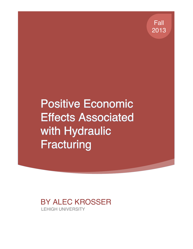Fall 2013

**Positive Economic Effects Associated** with Hydraulic **Fracturing** 

BY ALEC KROSSER LEHIGH UNIVERSITY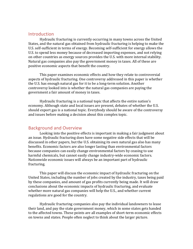## **Introduction**

Hydraulic fracturing is currently occurring in many towns across the United States, and the natural gas obtained from hydraulic fracturing is helping to make the U.S. self-sufficient in terms of energy. Becoming self-sufficient for energy allows the U.S. to spend less money because of decreased importing expenses, and not relying on other countries as energy sources provides the U.S. with more internal stability. Natural gas companies also pay the government money in taxes. All of these are positive economic aspects that benefit the country.

This paper examines economic effects and how they relate to controversial aspects of hydraulic fracturing. One controversy addressed in this paper is whether the U.S. has enough natural gas for it to be a long-term solution. Another controversy looked into is whether the natural gas companies are paying the government a fair amount of money in taxes.

Hydraulic fracturing is a national topic that affects the entire nation's economy. Although state and local issues are present, debates of whether the U.S. should export gas is a national topic. Everybody should be aware of the controversy and issues before making a decision about this complex topic.

## **Background and Overview**

Looking into the positive effects is important in making a fair judgment about an issue. Hydraulic fracturing does have some negative side effects that will be discussed in other papers, but the U.S. obtaining its own natural gas also has many benefits. Economic factors are also longer lasting than environmental factors because companies can easily change environmental factors by ceasing to use harmful chemicals, but cannot easily change industry-wide economic factors. Nationwide economic issues will always be an important part of hydraulic fracturing.

This paper will discuss the economic impact of hydraulic fracturing on the United States, including the number of jobs created by the industry, taxes being paid by these companies, and amount of gas profits currently being made. It will draw conclusions about the economic impacts of hydraulic fracturing, and evaluate whether more natural gas companies will help the U.S., and whether current regulations are good for the country.

Hydraulic fracturing companies also pay the individual landowners to lease their land, and pay the state government money, which in some states gets handed to the affected towns. These points are all examples of short-term economic effects on towns and states. People often neglect to think about the larger picture.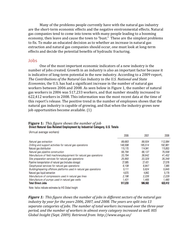Many of the problems people currently have with the natural gas industry are the short-term economic effects and the negative environmental effects. Natural gas companies tend to come into towns with many people leading to a booming economy, then leave and cause the town to "bust." These are the simplest problems to fix. To make an educated decision as to whether an increase in natural gas extraction and natural gas companies should occur, one must look at long-term effects and decide the potential benefits of hydraulic fracturing.

#### Jobs

One of the most important economic indicators of a new industry is the number of jobs created. Growth in an industry is also an important factor because it is indicative of long-term potential in the new industry. According to a 2009 report, The Contributions of the Natural Gas Industry to the U.S. National and State *Economies*, the U.S. has had a significant increase in the number of natural gas workers between 2006 and 2008. As seen below in Figure 1, the number of natural gas workers in 2006 was 517,233 workers, and that number steadily increased to 622,412 workers in 2008. This information was the most recent data at the time of this report's release. The positive trend in the number of employees shows that the natural gas industry is capable of growing, and that when the industry grows new job opportunities become available. (1)

# **Figure 1:** This figure shows the number of job<br>Direct Natural Gas-Related Employment by Industrial Category, U.S. Totals

(Annual average workers)

|                                                                      | 2006    | 2007    | 2008    |
|----------------------------------------------------------------------|---------|---------|---------|
| Natural gas extraction                                               | 89,683  | 99,504  | 112,064 |
| Drilling and support activities for natural gas operations           | 148,598 | 185,514 | 192,961 |
| Natural gas distribution                                             | 115.170 | 114,941 | 115,853 |
| Natural gas pipeline construction                                    | 56,794  | 66,137  | 75,558  |
| Manufacture of field machinery/equipment for natural gas operations  | 33,794  | 38,642  | 41,452  |
| Site preparation services for natural gas operations                 | 25,993  | 33,329  | 35,349  |
| Pipeline transportation of natural gas (includes storage)            | 27.685  | 27.431  | 27,078  |
| Geophysical services for natural gas operations                      | 6,108   | 6,847   | 7.365   |
| Building/repairing offshore platforms used in natural gas operations | 5.111   | 5,624   | 5,845   |
| Natural gas liquid extraction                                        | 4,670   | 4.842   | 5.179   |
| Manufacture of compressors used in natural gas lines                 | 2,196   | 2,226   | 2,229   |
| Manufacture of pumps used in natural gas wells                       | 1,431   | 1.465   | 1.480   |
| <b>Total Direct Jobs</b>                                             | 517,233 | 586.502 | 622,412 |

Note: Italics indicate estimates by IHS Global Insight

*Figure 1: This figure shows the number of jobs in different sectors of the natural gas* industry by year for the years 2006, 2007, and 2008. The years are split into 13 separate categories of jobs. The number of total workers increased over the three-year *period, and the number of workers in almost every category increased as well. HIS Global Insight (Sept. 2009). Retrieved from: http://www.anga.us/*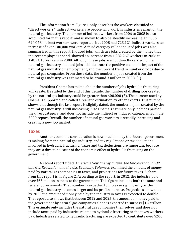The information from Figure 1 only describes the workers classified as "direct workers." Indirect workers are people who work in industries reliant on the natural gas industry. The number of indirect workers from 2006 to 2008 is also accounted for in this report, and is shown to also be steadily increasing. In 2006, 620,078 indirect workers were reported, but 2008 had 723,121 indirect workers, an increase of over 100,000 workers. A third category called induced jobs was also summarized in this report. Induced jobs, which are jobs created by the money that indirect employees spend, showed an increase from 1,282,267 workers in 2006 to 1,482,818 workers in 2008. Although these jobs are not directly related to the natural gas industry, induced jobs still illustrate the positive economic impact of the natural gas industry on employment, and the upward trend in number of jobs due to natural gas companies. From these data, the number of jobs created from the natural gas industry was estimated to be around  $3$  million in 2008.  $(1)$ 

President Obama has talked about the number of jobs hydraulic fracturing will create. He stated by the end of this decade, the number of drilling jobs created by the natural gas industry could be greater than  $600,000$  (2). The number used by Obama is supported and called a realistic estimation by other experts. This number shows that though the last report is slightly dated, the number of jobs created by the natural gas industry is still increasing. Also Obama's estimate only includes part of the direct category, and does not include the indirect or induced categories from the 2009 report. Overall, the number of natural gas workers is steadily increasing and creating a new job market.

#### Taxes

Another economic consideration is how much money the federal government is making from the natural gas industry, and tax regulations or tax deductions involved in hydraulic fracturing. Taxes and tax deductions are important because they are a direct indicator of the economic effect of hydraulic fracturing on the government.

A recent report titled, *America's New Energy Future: the Unconventional Oil* and Gas Revolution and the U.S. Economy, Volume 3, examined the amount of money paid by natural gas companies in taxes, and projections for future taxes. A chart from this report is in Figure 2. According to the report, in 2012, the industry paid over \$63 million in taxes to the government. This figure includes both the state and federal governments. That number is expected to increase significantly as the natural gas industry becomes larger and its profits increase. Projections show that by 2025 the amount of money paid by the industry in taxes is expected to double. The report also shows that between 2012 and 2025, the amount of money paid to the government by natural gas companies alone is expected to surpass \$1.4 trillion. This estimate only includes the natural gas companies themselves, and does not include taxes paid by industries related to hydraulic fracturing or the taxes workers pay. Industries related to hydraulic fracturing are expected to contribute over \$200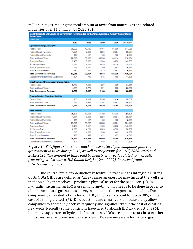million in taxes, making the total amount of taxes from natural gas and related industries over  $$1.6$  trillion by 2025.  $(3)$ 

| Contribution to US Lower 48 Government Revenue due to the Unconventional Activity Value Chain:<br><b>Base Case*</b> |        |         |         |         |           |
|---------------------------------------------------------------------------------------------------------------------|--------|---------|---------|---------|-----------|
| (2012 SM)                                                                                                           |        |         |         |         |           |
|                                                                                                                     | 2012   | 2015    | 2020    | 2025    | 2012-25** |
| <b>Upstream Energy Activity***</b>                                                                                  |        |         |         |         |           |
| Federal Taxes                                                                                                       | 28,903 | 42.132  | 50.167  | 55,620  | 644,286   |
| Federal Royalty Payments                                                                                            | 1.964  | 2,639   | 3,204   | 2.994   | 39,664    |
| Federal Bonus Payments                                                                                              | 148    | 167     | 150     | 138     | 2.139     |
| State and Local Taxes                                                                                               | 22,610 | 33,563  | 39,996  | 44.114  | 512,184   |
| Severance Taxes                                                                                                     | 5,450  | 8,657   | 11,769  | 13,232  | 143,935   |
| Ad Valoram Taxas                                                                                                    | 2,795  | 4,251   | 5,825   | 6.338   | 70,707    |
| State Royalty Payments                                                                                              | 715    | 1,050   | 1,359   | 1,443   | 16,767    |
| State Bonus Payments                                                                                                | 430    | 499     | 472     | 457     | 6,613     |
| <b>Total Government Revenue</b>                                                                                     | 63.015 | 92.957  | 112,943 | 124.335 | 1,436,294 |
| Lease Payments to Private Landowners                                                                                | 504    | 712     | 915     | 1.103   | 11,696    |
| Midstream and Downstream Energy Activity                                                                            |        |         |         |         |           |
| Federal Taxes                                                                                                       | 5,712  | 4.066   | 1,297   | 996     | 37,551    |
| State and Local Taxes                                                                                               | 4.038  | 2,771   | 871     | 669     | 25,582    |
| <b>Total Government Revenue</b>                                                                                     | 9,750  | 6,837   | 2,168   | 1,665   | 63,133    |
| <b>Energy-Related Chemicals Activity</b>                                                                            |        |         |         |         |           |
| Federal Taxes                                                                                                       | 983    | 2,829   | 6,238   | 7,414   | 68,859    |
| State and Local Taxes                                                                                               | 695    | 1.928   | 4.191   | 4.981   | 46,350    |
| <b>Total Government Revenue</b>                                                                                     | 1,677  | 4.757   | 10,429  | 12,395  | 115,209   |
| <b>Total Activity</b>                                                                                               |        |         |         |         |           |
| Federal Taxes                                                                                                       | 35,598 | 49,026  | 57,702  | 64,030  | 750,696   |
| Federal Royalty Payments                                                                                            | 1,964  | 2.639   | 3,204   | 2.994   | 39,664    |
| Federal Bonus Payments                                                                                              | 148    | 167     | 150     | 138     | 2,139     |
| State and Local Taxes                                                                                               | 27,342 | 38,262  | 45,058  | 49,764  | 584,115   |
| Severance Taxes                                                                                                     | 5.450  | 8.657   | 11,769  | 13,232  | 143,935   |
| Ad Valorem Taxes                                                                                                    | 2.795  | 4,251   | 5,825   | 6.338   | 70,707    |
| <b>State Royalty Payments</b>                                                                                       | 715    | 1.050   | 1,359   | 1,443   | 16,767    |
| State Bonus Payments                                                                                                | 430    | 499     | 472     | 457     | 6,613     |
| <b>Total Government Revenue</b>                                                                                     | 74,443 | 104,551 | 125,540 | 138,395 | 1,614,636 |
| Lease Payments to Private Landowners                                                                                | 504    | 712     | 915     | 1,103   | 11,696    |

**Figure 2**: This figure shows how much money natural gas companies paid the government in taxes during 2012, as well as projections for 2015, 2020, 2025 and 2012-2025. The amount of taxes paid by industries directly related to hydraulic *fracturing is also shown. HIS Global Insight (Sept. 2009). Retrieved from: http://www.anga.us/*

One controversial tax deduction in hydraulic fracturing is Intangible Drilling Costs (IDCs). IDCs are defined as "all expenses an operator may incur at the well site that  $don't - by$  themselves – produce a physical asset for the producer"  $(4)$ . In hydraulic fracturing, an IDC is essentially anything that needs to be done in order to obtain the natural gas, such as surveying the land, fuel expenses, and labor. These companies get tax deductions for any IDC, which can account for up to 90% of the cost of drilling the well (5). IDC deductions are controversial because they allow companies to get money back very quickly and significantly cut the cost of creating new wells. Recently some politicians have tried to abolish IDC tax deductions (6), but many supporters of hydraulic fracturing say IDCs are similar to tax breaks other industries receive. Some sources also claim IDCs are necessary for natural gas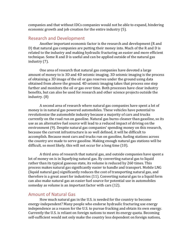companies and that without IDCs companies would not be able to expand, hindering economic growth and job creation for the entire industry (5).

## **Research and Development**

Another important economic factor is the research and development (R and D) that natural gas companies are putting their money into. Much of the R and D is related to the industry and making hydraulic fracturing an easier and more efficient technique. Some R and D is useful and can be applied outside of the natural gas industry  $(7)$ .

One area of research that natural gas companies have devoted a large amount of money to is 3D and 4D seismic imaging. 3D seismic imaging is the process of obtaining a 3D image of the oil or gas reserves under the ground using data obtained from above the ground. 4D seismic imaging takes that process one step further and monitors the oil or gas over time. Both processes have clear industry benefits, but can also be used for research and other science projects outside the industry. (8)

A second area of research where natural gas companies have spent a lot of money is in natural gas powered automobiles. These vehicles have potential to revolutionize the automobile industry because a majority of cars and trucks currently on the road run on gasoline. Natural gas burns cleaner than gasoline, so its use as an alternative fuel source will lead to a reduced impact of driving on the environment (9). Despite natural gas companies' spending money on this research, because the current infrastructure is so well defined, it will be difficult to accomplish. Because most cars and trucks run on gasoline, fueling stations across the country are made to serve gasoline. Making enough natural gas stations will be difficult, so most likely, this will not occur for a long time  $(10)$ .

A third area of research that natural gas, and outside companies have spent a lot of money on is in liquefying natural gas. By converting natural gas to liquid rather than its typical gaseous state, its volume is reduced by 260 times. This process makes natural gas significantly easier to handle and transport. Mobile LNG (liquid natural gas) significantly reduces the cost of transporting natural gas, and therefore is a great asset for industries  $(11)$ . Converting natural gas to a liquid form can also make natural gas an easier fuel source for potential use in automobiles someday as volume is an important factor with cars (12).

## Amount of Natural Gas

How much natural gas in the U.S. is needed for the country to become energy-independent? Many people who endorse hydraulic fracturing use energy independence as a reason for the U.S. to pursue fracking and obtain its own energy. Currently the U.S. is reliant on foreign nations to meet its energy quota. Becoming self-sufficient would not only make the country less dependent on foreign nations,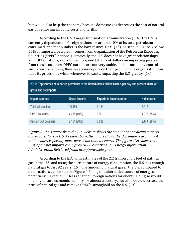but would also help the economy because domestic gas decreases the cost of natural gas by removing shipping costs and tariffs.

According to the U.S. Energy Information Administration (EIA), the U.S. is currently dependent on foreign nations for around 40% of its total petroleum consumed, and that number is the lowest since 1991 (13). As seen in Figure 3 below, 55% of imported petroleum comes from Organization of the Petroleum Exporting Countries (OPEC) nations. Historically, the U.S. does not have great relationships with OPEC nations, yet is forced to spend billions of dollars on importing petroleum from these countries. OPEC nations are not very stable, and because they control such a vast oil empire, they have a monopoly on their product. The organization can raise its prices on a whim whenever it wants, impacting the U.S. greatly. (14)

| 2012: Top sources of imported petroleum to the United States million barrels per day and percent share of<br>gross and net imports <sup>1</sup> |                      |                                 |             |  |  |  |
|-------------------------------------------------------------------------------------------------------------------------------------------------|----------------------|---------------------------------|-------------|--|--|--|
| Import sources                                                                                                                                  | <b>Gross imports</b> | <b>Exports to import source</b> | Net imports |  |  |  |
| Total, all countries                                                                                                                            | 10.596               | 3.184                           | 7.412       |  |  |  |
| OPEC countries                                                                                                                                  | 4.256 (40%)          | 177                             | 4.078 (55%) |  |  |  |
| Persian Gulf countries                                                                                                                          | 2.151 (20%)          | 0.088                           | 2.144 (29%) |  |  |  |

*Figure 3: This figure from the EIA website shows the amount of petroleum imports* and exports for the U.S. As seen above, the image shows the U.S. imports around 7.4 million barrels per day more petroleum than it exports. The figure also shows that 55% of the net imports come from OPEC countries. U.S. Energy Information *Administration. Retrieved from: http://www.eia.gov/*

According to the EIA, with estimates of the 2.2 trillion cubic feet of natural gas in the U.S. and using the current rate of energy consumption, the U.S. has enough natural gas to last 92 years (15). The amount of natural gas in the U.S. compared to other nations can be seen in Figure 4. Using this alternative source of energy can potentially make the U.S. less reliant on foreign nations for energy. Doing so would not only ensure economic stability for almost a century, but also would decrease the price of natural gas and remove OPEC's stronghold on the U.S.  $(13)$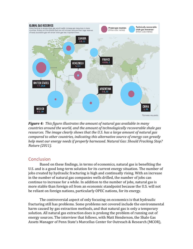

*Figure 4:* This figure illustrates the amount of natural gas available in many *countries around the world, and the amount of technologically recoverable shale gas* resources. The *image clearly shows that the U.S. has a large amount of natural gas compared to other countries, indicating this alternative source of energy can greatly* help meet our energy needs if properly harnessed. Natural Gas: Should Fracking Stop? *Nature (2011).*

## Conclusion

Based on these findings, in terms of economics, natural gas is benefiting the U.S. and is a good long-term solution for its current energy situation. The number of jobs created by hydraulic fracturing is high and continually rising. With an increase in the number of natural gas companies wells drilled, the number of jobs can continue to increase for a while. In addition to the number of jobs, natural gas is more stable than foreign oil from an economic standpoint because the U.S. will not be reliant on foreign nations, particularly OPEC nations, for its energy.

The controversial aspect of only focusing on economics is that hydraulic fracturing still has problems. Some problems not covered include the environmental harm caused by gas extraction methods, and that natural gas is only a temporary solution. All natural gas extraction does is prolong the problem of running out of energy sources. The interview that follows, with Matt Henderson, the Shale Gas Assets Manager of Penn State's Marcellus Center for Outreach & Research (MCOR),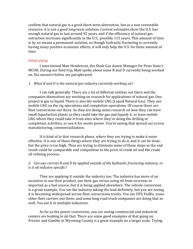confirm that natural gas is a good short-term alternative, but as a non-renewable resource, it is not a good long-term solution. Current estimates show the U.S. has enough natural gas to last around 92 years, and if the efficiency of natural gas extraction increases significantly in the U.S., possibly 115 years. This amount of time is by no means a permanent solution, so though hydraulic fracturing is currently having many positive economic effects, it will only help the U.S. for finite amount of time.

## Interview

I interviewed Matt Henderson, the Shale Gas Assets Manager for Penn State's MCOR. During our field trip, Matt spoke about some R and D currently being worked on. His answers below are paraphrased.

#### 1. What R and D is the natural gas industry currently working on?

I can talk generally. There are a lot of different entities out there and the companies themselves are working on research for applications of natural gas. One project is gas to liquid. There is also the mobile LNG (Liquid Natural Gas). They use mobile LNG on the rig operations and completion operations. Of course there are fleet conversions out there. So they are doing some research on how they can have small liquefaction plants so they could take the gas and liquefy it, or have mobile LNG where they could take it from sites where they're doing the drilling or completion activities, or use it for onsite power. You're seeing that spread out across manufacturing, commercialization.

It is kind of in that research phase, where they are trying to make it more effective. It is one of those things where they are trying to do it, and it can be done, but the price is too high. They are trying to eliminate some of those steps so the end result could be comparable and competitive to the price of crude oil and the crude oil refining process.

## 2. *Can any current R and D be applied outside of the hydraulic fracturing industry, or is it all industry specific?*

They are applying it outside the industry too. The industry has more of an incentive to use their product, use their gas versus using oil from overseas or imported as a fuel source, but it is being applied elsewhere. The vehicle conversion is a great example. You see the industry taking the lead definitely, but you are seeing it is becoming widespread across fleet conversions trucks. You see UPS, FedEx, some other fleet carriers out there, and some long road truck companies are doing that as well. You see it in multiple industries.

As far as the power conversion, you are seeing commercial and industrial centers are looking to do that. There are some good examples of that going on. Procter and Gamble in Wyoming County is a great example on a larger scale. Trying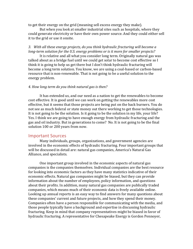to get their energy on the grid (meaning sell excess energy they make).

But when you look at smaller industrial sites such as hospitals, where they could generate electricity or have their own power source. And they could either sell it to the grid or use it onsite.

## 3. With all these energy projects, do you think hydraulic fracturing will become a *long-term solution for the U.S. energy problems or is it more for smaller projects?*

It is relative and all what you consider long term. Originally natural gas was talked about as a bridge fuel until we could get solar to become cost effective so I think it is going to help us get there but I don't think hydraulic fracturing will become a long term solution. You know, we are using a coal-based or carbon-based resource that is non-renewable. That is not going to be a useful solution to the energy problem.

#### *4. How long term do you think natural gas is then?*

It has extended us, and our need as a nation to get the renewables to become cost effective. It is good until we can work on getting the renewables more cost effective, but it seems that those projects are being put on the back burners. You do not see as much federal or state money out there working to get those technologies. It is not going to be the solution. Is it going to be the solution in my life, your life? Yes. I think we are going to have enough energy from hydraulic fracturing and the gas and oil industry. But in generations to come? No. It is not going to be the final solution 100 or 200 years from now.

#### **Important Sources**

Many individuals, groups, organizations, and government agencies are involved in the economic effects of hydraulic fracturing. Four important groups that will be discussed in detail are: natural gas companies, America's Natural Gas Alliance, and specialists.

One important group involved in the economic aspects of natural gas companies is the companies themselves. Individual companies are the best resource for looking into economic factors as they have many statistics indicative of their economic effects. Natural gas companies might be biased, but they can provide information about the number of employees, policy information, and questions about their profits. In addition, many natural gas companies are publically traded companies, which means much of their economic data is freely available online. Looking up annual reports is an easy way to find answers for many questions about these companies' current and future projects, and how they spend their money. Companies often have a person responsible for communicating with the media, and those people typically have a background and expertise in discussing hydraulic fracturing. Keep in mind that company representatives might be biased in favor of hydraulic fracturing. A representative for Chesapeake Energy is Gordon Pennoyer,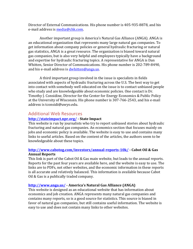Director of External Communications. His phone number is 405-935-8878, and his e-mail address is media@chk.com.

Another important group is America's Natural Gas Alliance (ANGA). ANGA is an educational organization that represents many large natural gas companies. To get information about company policies or general hydraulic fracturing or natural gas statistics, ANGA is a great resource. The organization is biased toward natural gas companies, but is also very helpful and employees typically have a background and expertise for hydraulic fracturing topics. A representative for ANGA is Dan Whitten, Senior Director of Communications. His phone number is 202-789-8490, and his e-mail address is dwhitten@anga.us.

A third important group involved in the issue is specialists in fields associated with aspects of hydraulic fracturing across the U.S. The best way to get into contact with somebody well educated on the issue is to contact unbiased people who study and are knowledgeable about economic policies. One contact is Dr. Timothy J. Considine, Director for the Center for Energy Economics & Public Policy at the University of Wisconsin. His phone number is 307-766-2543, and his e-mail address is tconsidi@uwyo.edu.

## Additional Web Resources

#### **http://stateimpact.npr.org/ - State Impact**

This website is run by journalists who try to report unbiased stories about hydraulic fracturing and natural gas companies. An economics section that focuses mainly on jobs and economic policy is available. The website is easy to use and contains many links to useful articles. Based on the content of the articles, the authors seem to be knowledgeable about these topics.

#### **http://www.cabotog.com/investors/annual-reports-10k/ - Cabot Oil & Gas Annual Reports**

This link is part of the Cabot Oil & Gas main website, but leads to the annual reports. Reports for the past four years are available here, and the website is easy to use. The links are to PDFs, not other websites, and the economic information in these reports is all accurate and relatively balanced. This information is available because Cabot Oil & Gas is a publically traded company.

#### **http://www.anga.us/ - America's Natural Gas Alliance (ANGA)**

This website is designed as an educational website that has information about economics and job creation. ANGA represents many natural gas companies and contains many reports, so is a good source for statistics. This source is biased in favor of natural gas companies, but still contains useful information. The website is easy to use and does not contain many links to other websites.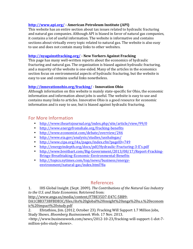## **http://www.api.org/ - American Petroleum Institute (API)**

This website has an entire section about tax issues related to hydraulic fracturing and natural gas companies. Although API is biased in favor of natural gas companies, it contains a lot of useful information. The website is informative and contains sections about virtually every topic related to natural gas. The website is also easy to use and does not contain many links to other websites.

## **http://nyagainstfracking.org/ - New Yorkers Against Fracking**

This page has many well-written reports about the economics of hydraulic fracturing and natural gas. The organization is biased against hydraulic fracturing, and a majority of the website is one-sided. Many of the articles in the economics section focus on environmental aspects of hydraulic fracturing, but the website is easy to use and contains useful links nonetheless.

## **http://innovationohio.org/fracking/ - Innovation Ohio**

Although information on this website is mainly state-specific for Ohio, the economic information and information about jobs is useful. The website is easy to use and contains many links to articles. Innovative Ohio is a good resource for economic information and is easy to use, but is biased against hydraulic fracturing.

# For More Information

- http://www.theartsjournal.org/index.php/site/article/view/99/0
- http://www.energyfromshale.org/fracking-benefits
- http://www.economist.com/debate/overview/246
- http://www.eia.gov/analysis/studies/usshalegas/
- http://www.cipa.org/i4a/pages/index.cfm?pageID=749
- http://energyindepth.org/docs/pdf/Hydraulic-Fracturing-3-E's.pdf
- http://www.breitbart.com/Big-Government/2013/08/17/Report-Fracking-Brings-Breathtaking-Economic-Environmental-Benefits
- http://topics.nytimes.com/top/news/business/energyenvironment/natural-gas/index.html?8a

# References

1. IHS Global Insight. (Sept. 2009). *The Contributions of the Natural Gas Industry to the U.S. and State Economies*. Retrieved from: 

http://www.anga.us/media/content/F7BE35D7-E47C-5BB9-

DA1CBB373BFBDB3C/files/ihs%20global%20insight%20anga%20u.s.%20econom ic%20impact%20study.pdf

2. Efstathiou, Jim. (2012, October 23). Fracking Will Support 1.7 Million Jobs, Study Shows. *Bloomberg Businessweek*. Web. 17 Nov. 2013.

<http://www.businessweek.com/news/2012-10-23/fracking-will-support-1-dot-7 million-jobs-study-shows>.